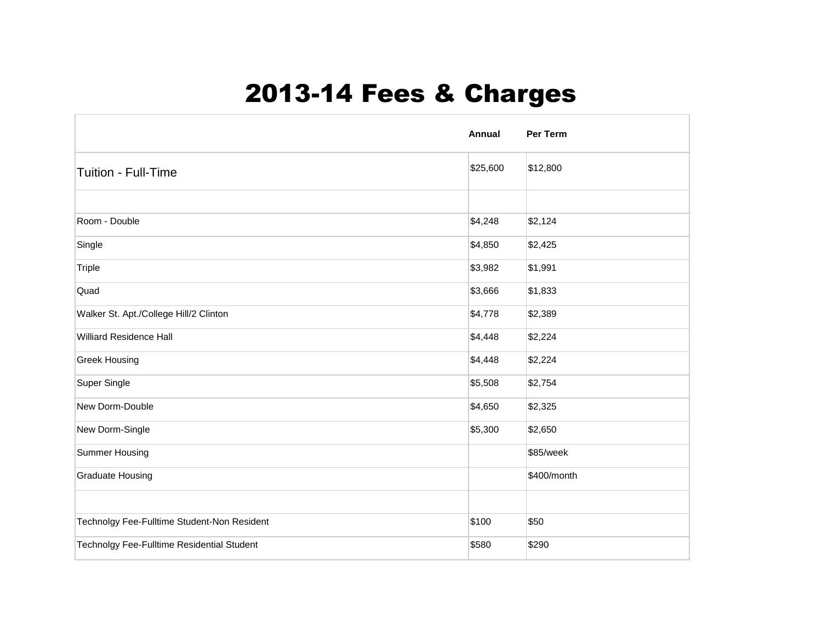## 2013-14 Fees & Charges

|                                             | Annual   | Per Term    |
|---------------------------------------------|----------|-------------|
| <b>Tuition - Full-Time</b>                  | \$25,600 | \$12,800    |
|                                             |          |             |
| Room - Double                               | \$4,248  | \$2,124     |
| Single                                      | \$4,850  | \$2,425     |
| Triple                                      | \$3,982  | \$1,991     |
| Quad                                        | \$3,666  | \$1,833     |
| Walker St. Apt./College Hill/2 Clinton      | \$4,778  | \$2,389     |
| <b>Williard Residence Hall</b>              | \$4,448  | \$2,224     |
| <b>Greek Housing</b>                        | \$4,448  | \$2,224     |
| Super Single                                | \$5,508  | \$2,754     |
| New Dorm-Double                             | \$4,650  | \$2,325     |
| New Dorm-Single                             | \$5,300  | \$2,650     |
| Summer Housing                              |          | \$85/week   |
| <b>Graduate Housing</b>                     |          | \$400/month |
|                                             |          |             |
| Technolgy Fee-Fulltime Student-Non Resident | \$100    | \$50        |
| Technolgy Fee-Fulltime Residential Student  | \$580    | \$290       |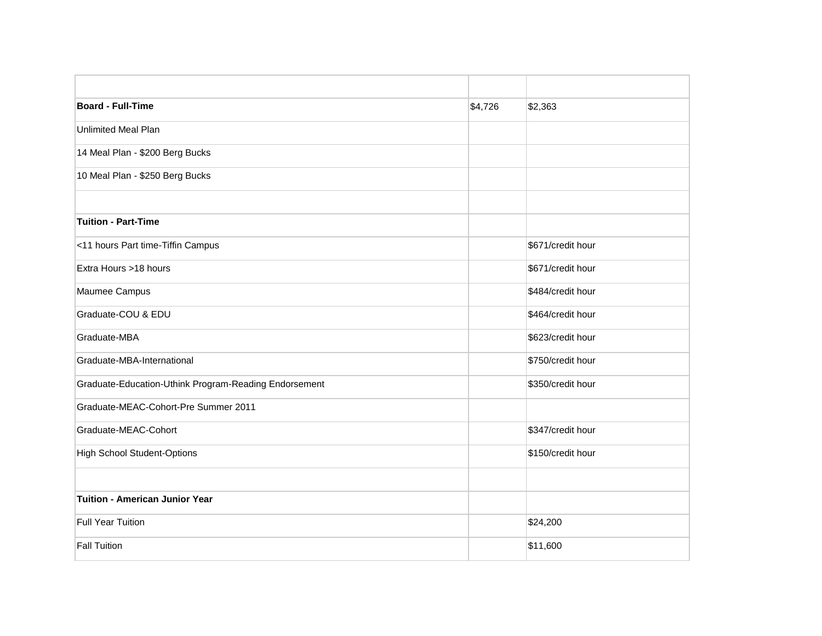| <b>Board - Full-Time</b>                              | \$4,726 | \$2,363           |
|-------------------------------------------------------|---------|-------------------|
| <b>Unlimited Meal Plan</b>                            |         |                   |
| 14 Meal Plan - \$200 Berg Bucks                       |         |                   |
| 10 Meal Plan - \$250 Berg Bucks                       |         |                   |
| <b>Tuition - Part-Time</b>                            |         |                   |
|                                                       |         |                   |
| <11 hours Part time-Tiffin Campus                     |         | \$671/credit hour |
| Extra Hours >18 hours                                 |         | \$671/credit hour |
| Maumee Campus                                         |         | \$484/credit hour |
| Graduate-COU & EDU                                    |         | \$464/credit hour |
| Graduate-MBA                                          |         | \$623/credit hour |
| Graduate-MBA-International                            |         | \$750/credit hour |
| Graduate-Education-Uthink Program-Reading Endorsement |         | \$350/credit hour |
| Graduate-MEAC-Cohort-Pre Summer 2011                  |         |                   |
| Graduate-MEAC-Cohort                                  |         | \$347/credit hour |
| <b>High School Student-Options</b>                    |         | \$150/credit hour |
|                                                       |         |                   |
| <b>Tuition - American Junior Year</b>                 |         |                   |
| <b>Full Year Tuition</b>                              |         | \$24,200          |
| <b>Fall Tuition</b>                                   |         | \$11,600          |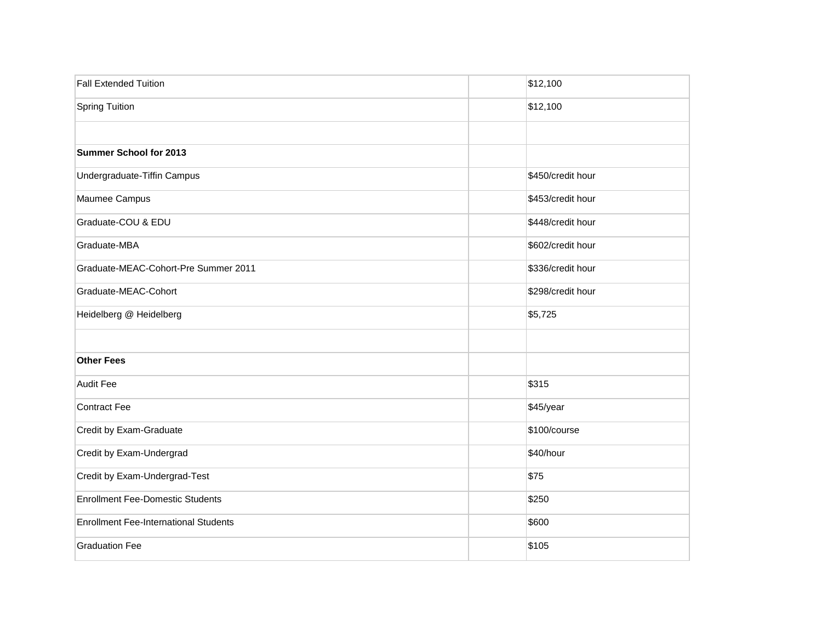| <b>Fall Extended Tuition</b>                 | \$12,100          |
|----------------------------------------------|-------------------|
| <b>Spring Tuition</b>                        | \$12,100          |
|                                              |                   |
| Summer School for 2013                       |                   |
| Undergraduate-Tiffin Campus                  | \$450/credit hour |
| Maumee Campus                                | \$453/credit hour |
| Graduate-COU & EDU                           | \$448/credit hour |
| Graduate-MBA                                 | \$602/credit hour |
| Graduate-MEAC-Cohort-Pre Summer 2011         | \$336/credit hour |
| Graduate-MEAC-Cohort                         | \$298/credit hour |
| Heidelberg @ Heidelberg                      | \$5,725           |
|                                              |                   |
| <b>Other Fees</b>                            |                   |
| Audit Fee                                    | \$315             |
| Contract Fee                                 | \$45/year         |
| Credit by Exam-Graduate                      | \$100/course      |
| Credit by Exam-Undergrad                     | \$40/hour         |
| Credit by Exam-Undergrad-Test                | \$75              |
| <b>Enrollment Fee-Domestic Students</b>      | \$250             |
| <b>Enrollment Fee-International Students</b> | \$600             |
| <b>Graduation Fee</b>                        | \$105             |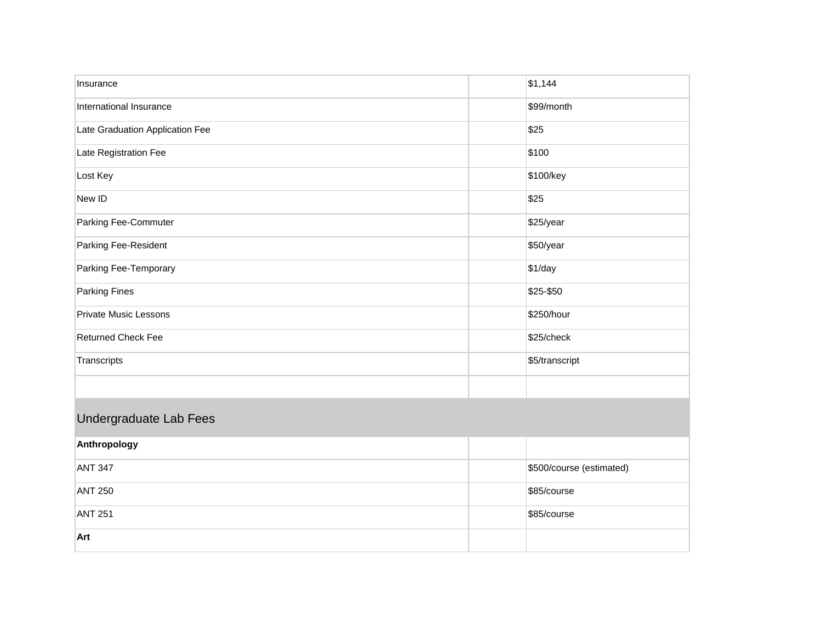| Insurance                       | \$1,144                  |
|---------------------------------|--------------------------|
| International Insurance         | \$99/month               |
| Late Graduation Application Fee | \$25                     |
| Late Registration Fee           | \$100                    |
| Lost Key                        | \$100/key                |
| New ID                          | \$25                     |
| Parking Fee-Commuter            | \$25/year                |
| Parking Fee-Resident            | \$50/year                |
| Parking Fee-Temporary           | \$1/day                  |
| Parking Fines                   | \$25-\$50                |
| <b>Private Music Lessons</b>    | \$250/hour               |
| <b>Returned Check Fee</b>       | \$25/check               |
| Transcripts                     | \$5/transcript           |
|                                 |                          |
| Undergraduate Lab Fees          |                          |
| Anthropology                    |                          |
| <b>ANT 347</b>                  | \$500/course (estimated) |
| <b>ANT 250</b>                  | \$85/course              |
| <b>ANT 251</b>                  | \$85/course              |
| Art                             |                          |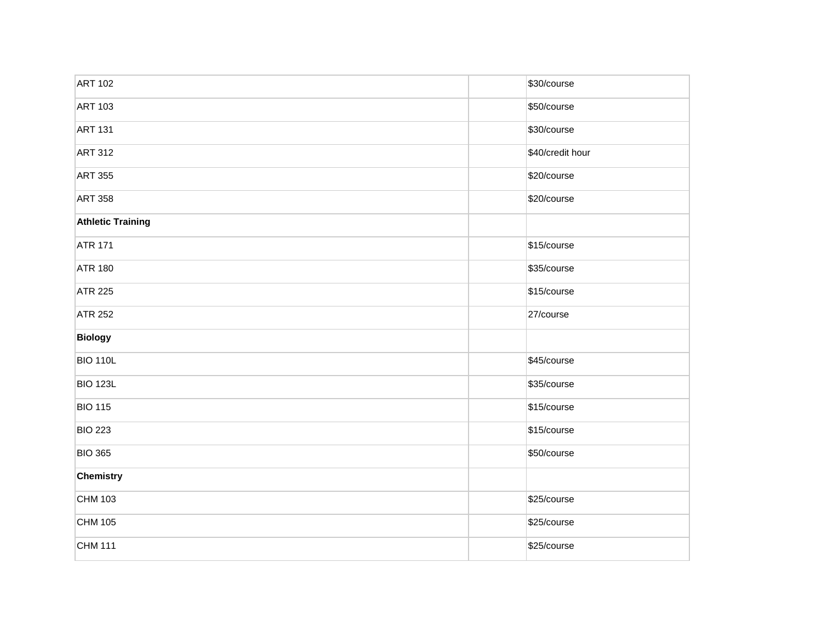| <b>ART 102</b>           | \$30/course      |
|--------------------------|------------------|
| <b>ART 103</b>           | \$50/course      |
| <b>ART 131</b>           | \$30/course      |
| <b>ART 312</b>           | \$40/credit hour |
| <b>ART 355</b>           | \$20/course      |
| <b>ART 358</b>           | \$20/course      |
| <b>Athletic Training</b> |                  |
| <b>ATR 171</b>           | \$15/course      |
| <b>ATR 180</b>           | \$35/course      |
| <b>ATR 225</b>           | \$15/course      |
| <b>ATR 252</b>           | 27/course        |
| <b>Biology</b>           |                  |
| <b>BIO 110L</b>          | \$45/course      |
| <b>BIO 123L</b>          | \$35/course      |
| <b>BIO 115</b>           | \$15/course      |
| <b>BIO 223</b>           | \$15/course      |
| <b>BIO 365</b>           | \$50/course      |
| Chemistry                |                  |
| CHM 103                  | \$25/course      |
| CHM 105                  | \$25/course      |
| <b>CHM 111</b>           | \$25/course      |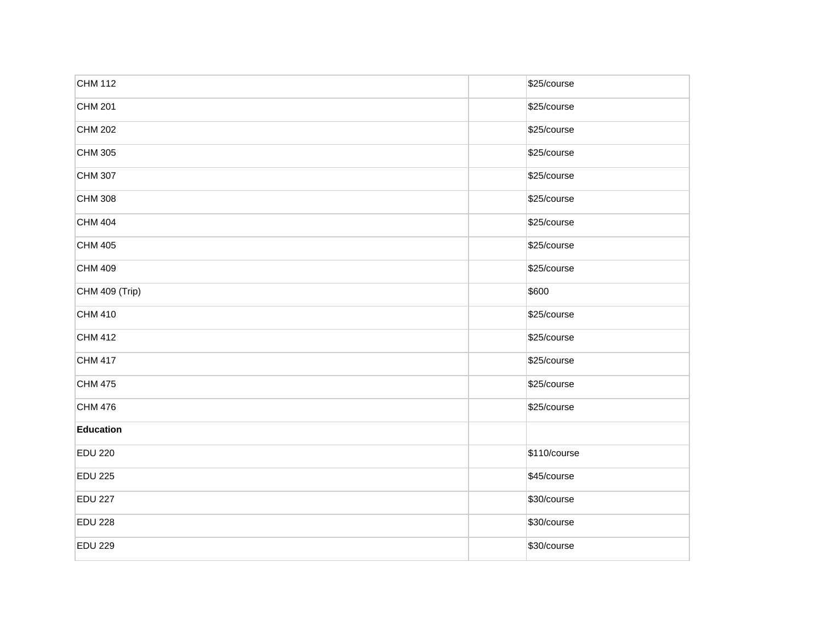| CHM 112        | \$25/course  |
|----------------|--------------|
| CHM 201        | \$25/course  |
| CHM 202        | \$25/course  |
| CHM 305        | \$25/course  |
| CHM 307        | \$25/course  |
| CHM 308        | \$25/course  |
| CHM 404        | \$25/course  |
| CHM 405        | \$25/course  |
| CHM 409        | \$25/course  |
| CHM 409 (Trip) | \$600        |
| CHM 410        | \$25/course  |
| CHM 412        | \$25/course  |
| CHM 417        | \$25/course  |
| CHM 475        | \$25/course  |
| CHM 476        | \$25/course  |
| Education      |              |
| <b>EDU 220</b> | \$110/course |
| <b>EDU 225</b> | \$45/course  |
| <b>EDU 227</b> | \$30/course  |
| <b>EDU 228</b> | \$30/course  |
| <b>EDU 229</b> | \$30/course  |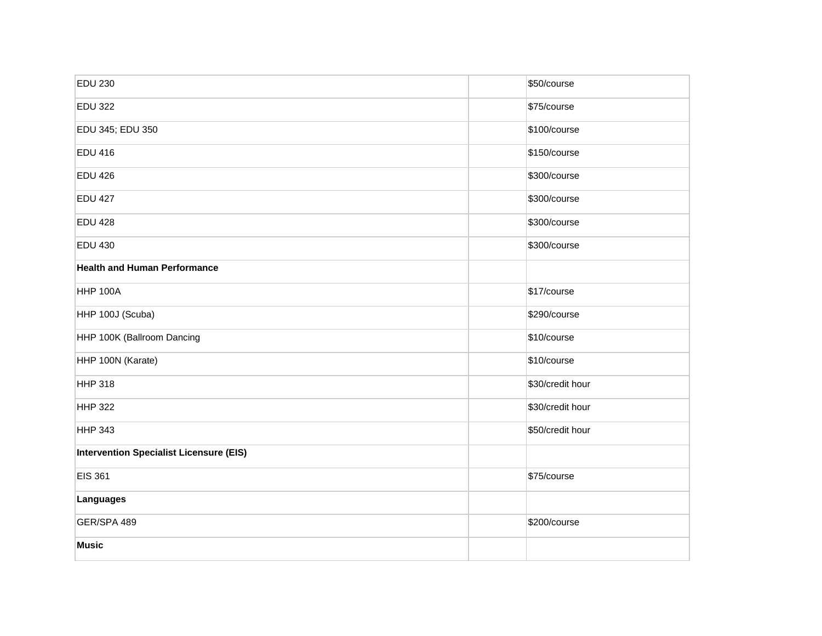| <b>EDU 230</b>                                 | \$50/course      |
|------------------------------------------------|------------------|
| <b>EDU 322</b>                                 | \$75/course      |
| EDU 345; EDU 350                               | \$100/course     |
| <b>EDU 416</b>                                 | \$150/course     |
| <b>EDU 426</b>                                 | \$300/course     |
| <b>EDU 427</b>                                 | \$300/course     |
| <b>EDU 428</b>                                 | \$300/course     |
| <b>EDU 430</b>                                 | \$300/course     |
| <b>Health and Human Performance</b>            |                  |
| <b>HHP 100A</b>                                | \$17/course      |
| HHP 100J (Scuba)                               | \$290/course     |
| HHP 100K (Ballroom Dancing                     | \$10/course      |
| HHP 100N (Karate)                              | \$10/course      |
| <b>HHP 318</b>                                 | \$30/credit hour |
| <b>HHP 322</b>                                 | \$30/credit hour |
| <b>HHP 343</b>                                 | \$50/credit hour |
| <b>Intervention Specialist Licensure (EIS)</b> |                  |
| <b>EIS 361</b>                                 | \$75/course      |
| Languages                                      |                  |
| GER/SPA 489                                    | \$200/course     |
| <b>Music</b>                                   |                  |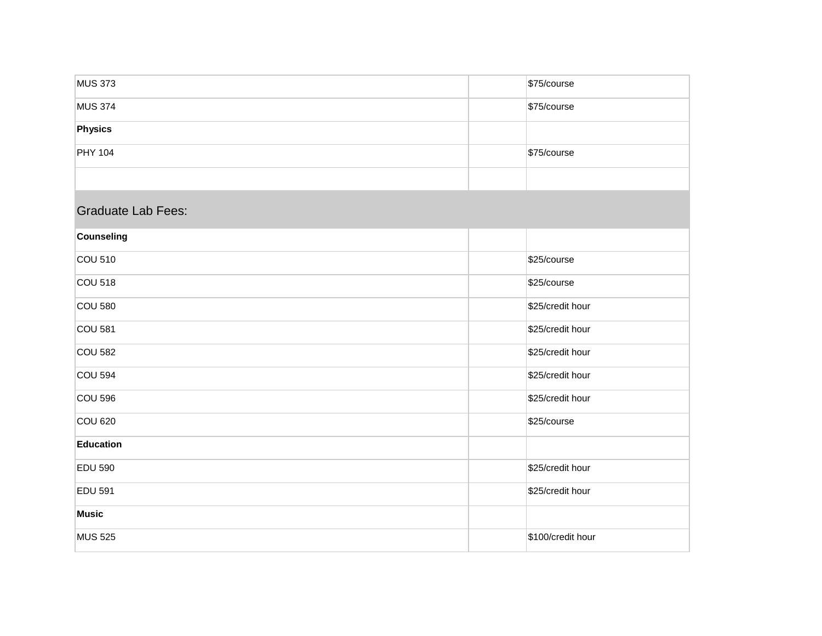| <b>MUS 373</b>            | \$75/course       |
|---------------------------|-------------------|
| <b>MUS 374</b>            | \$75/course       |
| Physics                   |                   |
| <b>PHY 104</b>            | \$75/course       |
|                           |                   |
| <b>Graduate Lab Fees:</b> |                   |
| Counseling                |                   |
| <b>COU 510</b>            | \$25/course       |
| <b>COU 518</b>            | \$25/course       |
| <b>COU 580</b>            | \$25/credit hour  |
| <b>COU 581</b>            | \$25/credit hour  |
| <b>COU 582</b>            | \$25/credit hour  |
| <b>COU 594</b>            | \$25/credit hour  |
| <b>COU 596</b>            | \$25/credit hour  |
| <b>COU 620</b>            | \$25/course       |
| Education                 |                   |
| <b>EDU 590</b>            | \$25/credit hour  |
| <b>EDU 591</b>            | \$25/credit hour  |
| <b>Music</b>              |                   |
| <b>MUS 525</b>            | \$100/credit hour |